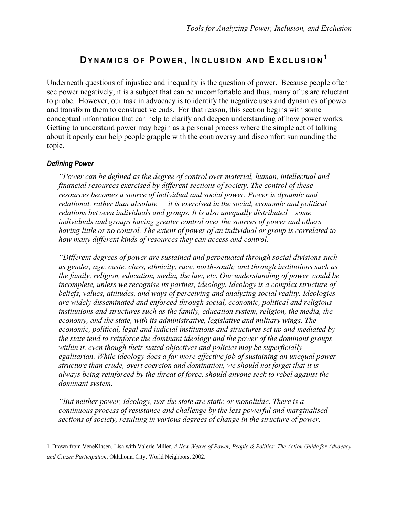# **DYNAMICS OF P OWER , I NCLUSION AND EXCLUSION <sup>1</sup>**

Underneath questions of injustice and inequality is the question of power. Because people often see power negatively, it is a subject that can be uncomfortable and thus, many of us are reluctant to probe. However, our task in advocacy is to identify the negative uses and dynamics of power and transform them to constructive ends. For that reason, this section begins with some conceptual information that can help to clarify and deepen understanding of how power works. Getting to understand power may begin as a personal process where the simple act of talking about it openly can help people grapple with the controversy and discomfort surrounding the topic.

#### *Defining Power*

 $\overline{a}$ 

*"Power can be defined as the degree of control over material, human, intellectual and financial resources exercised by different sections of society. The control of these resources becomes a source of individual and social power. Power is dynamic and relational, rather than absolute — it is exercised in the social, economic and political relations between individuals and groups. It is also unequally distributed – some individuals and groups having greater control over the sources of power and others having little or no control. The extent of power of an individual or group is correlated to how many different kinds of resources they can access and control.* 

*"Different degrees of power are sustained and perpetuated through social divisions such as gender, age, caste, class, ethnicity, race, north-south; and through institutions such as the family, religion, education, media, the law, etc. Our understanding of power would be incomplete, unless we recognise its partner, ideology. Ideology is a complex structure of beliefs, values, attitudes, and ways of perceiving and analyzing social reality. Ideologies are widely disseminated and enforced through social, economic, political and religious*  institutions and structures such as the family, education system, religion, the media, the *economy, and the state, with its administrative, legislative and military wings. The economic, political, legal and judicial institutions and structures set up and mediated by the state tend to reinforce the dominant ideology and the power of the dominant groups within it, even though their stated objectives and policies may be superficially egalitarian. While ideology does a far more effective job of sustaining an unequal power structure than crude, overt coercion and domination, we should not forget that it is always being reinforced by the threat of force, should anyone seek to rebel against the dominant system.* 

*"But neither power, ideology, nor the state are static or monolithic. There is a continuous process of resistance and challenge by the less powerful and marginalised sections of society, resulting in various degrees of change in the structure of power.* 

<sup>1</sup> Drawn from VeneKlasen, Lisa with Valerie Miller. *A New Weave of Power, People & Politics: The Action Guide for Advocacy and Citizen Participation*. Oklahoma City: World Neighbors, 2002.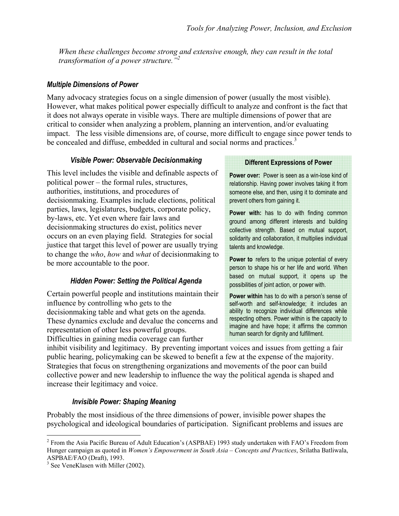*When these challenges become strong and extensive enough, they can result in the total transformation of a power structure."2*

#### *Multiple Dimensions of Power*

Many advocacy strategies focus on a single dimension of power (usually the most visible). However, what makes political power especially difficult to analyze and confront is the fact that it does not always operate in visible ways. There are multiple dimensions of power that are critical to consider when analyzing a problem, planning an intervention, and/or evaluating impact. The less visible dimensions are, of course, more difficult to engage since power tends to be concealed and diffuse, embedded in cultural and social norms and practices.<sup>3</sup>

#### *Visible Power: Observable Decisionmaking*

This level includes the visible and definable aspects of political power – the formal rules, structures, authorities, institutions, and procedures of decisionmaking. Examples include elections, political parties, laws, legislatures, budgets, corporate policy, by-laws, etc. Yet even where fair laws and decisionmaking structures do exist, politics never occurs on an even playing field. Strategies for social justice that target this level of power are usually trying to change the *who*, *how* and *what* of decisionmaking to be more accountable to the poor.

# *Hidden Power: Setting the Political Agenda*

Certain powerful people and institutions maintain their influence by controlling who gets to the decisionmaking table and what gets on the agenda. These dynamics exclude and devalue the concerns and representation of other less powerful groups. Difficulties in gaining media coverage can further

#### **Different Expressions of Power**

**Power over:** Power is seen as a win-lose kind of relationship. Having power involves taking it from someone else, and then, using it to dominate and prevent others from gaining it.

**Power with:** has to do with finding common ground among different interests and building collective strength. Based on mutual support, solidarity and collaboration, it multiplies individual talents and knowledge.

**Power to** refers to the unique potential of every person to shape his or her life and world. When based on mutual support, it opens up the possibilities of joint action, or power with.

**Power within** has to do with a person's sense of self-worth and self-knowledge; it includes an ability to recognize individual differences while respecting others. Power within is the capacity to imagine and have hope; it affirms the common human search for dignity and fulfillment.

inhibit visibility and legitimacy. By preventing important voices and issues from getting a fair public hearing, policymaking can be skewed to benefit a few at the expense of the majority. Strategies that focus on strengthening organizations and movements of the poor can build collective power and new leadership to influence the way the political agenda is shaped and increase their legitimacy and voice.

# *Invisible Power: Shaping Meaning*

Probably the most insidious of the three dimensions of power, invisible power shapes the psychological and ideological boundaries of participation. Significant problems and issues are

<u>.</u>

<sup>&</sup>lt;sup>2</sup> From the Asia Pacific Bureau of Adult Education's (ASPBAE) 1993 study undertaken with FAO's Freedom from Hunger campaign as quoted in *Women's Empowerment in South Asia* – *Concepts and Practices*, Srilatha Batliwala, ASPBAE/FAO (Draft), 1993.

<sup>&</sup>lt;sup>3</sup> See VeneKlasen with Miller (2002).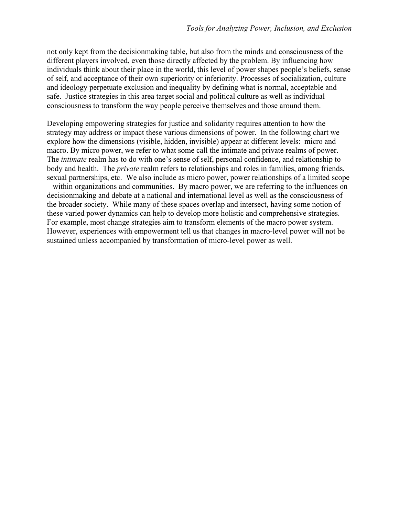not only kept from the decisionmaking table, but also from the minds and consciousness of the different players involved, even those directly affected by the problem. By influencing how individuals think about their place in the world, this level of power shapes people's beliefs, sense of self, and acceptance of their own superiority or inferiority. Processes of socialization, culture and ideology perpetuate exclusion and inequality by defining what is normal, acceptable and safe. Justice strategies in this area target social and political culture as well as individual consciousness to transform the way people perceive themselves and those around them.

Developing empowering strategies for justice and solidarity requires attention to how the strategy may address or impact these various dimensions of power. In the following chart we explore how the dimensions (visible, hidden, invisible) appear at different levels: micro and macro. By micro power, we refer to what some call the intimate and private realms of power. The *intimate* realm has to do with one's sense of self, personal confidence, and relationship to body and health. The *private* realm refers to relationships and roles in families, among friends, sexual partnerships, etc. We also include as micro power, power relationships of a limited scope – within organizations and communities. By macro power, we are referring to the influences on decisionmaking and debate at a national and international level as well as the consciousness of the broader society. While many of these spaces overlap and intersect, having some notion of these varied power dynamics can help to develop more holistic and comprehensive strategies. For example, most change strategies aim to transform elements of the macro power system. However, experiences with empowerment tell us that changes in macro-level power will not be sustained unless accompanied by transformation of micro-level power as well.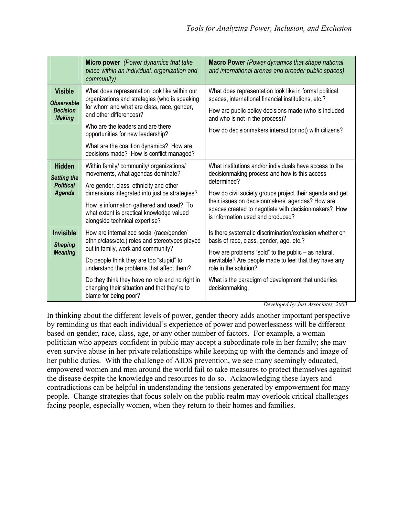|                                                                         | Micro power (Power dynamics that take<br>place within an individual, organization and<br>community)                                                                                                                                                                                                                                                     | <b>Macro Power</b> (Power dynamics that shape national<br>and international arenas and broader public spaces)                                                                                                                                                                                                                         |
|-------------------------------------------------------------------------|---------------------------------------------------------------------------------------------------------------------------------------------------------------------------------------------------------------------------------------------------------------------------------------------------------------------------------------------------------|---------------------------------------------------------------------------------------------------------------------------------------------------------------------------------------------------------------------------------------------------------------------------------------------------------------------------------------|
| <b>Visible</b><br><b>Observable</b><br><b>Decision</b><br><b>Making</b> | What does representation look like within our<br>organizations and strategies (who is speaking<br>for whom and what are class, race, gender,<br>and other differences)?<br>Who are the leaders and are there<br>opportunities for new leadership?<br>What are the coalition dynamics? How are<br>decisions made? How is conflict managed?               | What does representation look like in formal political<br>spaces, international financial institutions, etc.?<br>How are public policy decisions made (who is included<br>and who is not in the process)?<br>How do decisionmakers interact (or not) with citizens?                                                                   |
| <b>Hidden</b><br><b>Setting the</b><br><b>Political</b><br>Agenda       | Within family/ community/ organizations/<br>movements, what agendas dominate?<br>Are gender, class, ethnicity and other<br>dimensions integrated into justice strategies?<br>How is information gathered and used? To<br>what extent is practical knowledge valued<br>alongside technical expertise?                                                    | What institutions and/or individuals have access to the<br>decision making process and how is this access<br>determined?<br>How do civil society groups project their agenda and get<br>their issues on decisionmakers' agendas? How are<br>spaces created to negotiate with decisionmakers? How<br>is information used and produced? |
| <b>Invisible</b><br><b>Shaping</b><br><b>Meaning</b>                    | How are internalized social (race/gender/<br>ethnic/class/etc.) roles and stereotypes played<br>out in family, work and community?<br>Do people think they are too "stupid" to<br>understand the problems that affect them?<br>Do they think they have no role and no right in<br>changing their situation and that they're to<br>blame for being poor? | Is there systematic discrimination/exclusion whether on<br>basis of race, class, gender, age, etc.?<br>How are problems "sold" to the public – as natural,<br>inevitable? Are people made to feel that they have any<br>role in the solution?<br>What is the paradigm of development that underlies<br>decisionmaking.                |

*Developed by Just Associates, 2003* 

In thinking about the different levels of power, gender theory adds another important perspective by reminding us that each individual's experience of power and powerlessness will be different based on gender, race, class, age, or any other number of factors. For example, a woman politician who appears confident in public may accept a subordinate role in her family; she may even survive abuse in her private relationships while keeping up with the demands and image of her public duties. With the challenge of AIDS prevention, we see many seemingly educated, empowered women and men around the world fail to take measures to protect themselves against the disease despite the knowledge and resources to do so. Acknowledging these layers and contradictions can be helpful in understanding the tensions generated by empowerment for many people. Change strategies that focus solely on the public realm may overlook critical challenges facing people, especially women, when they return to their homes and families.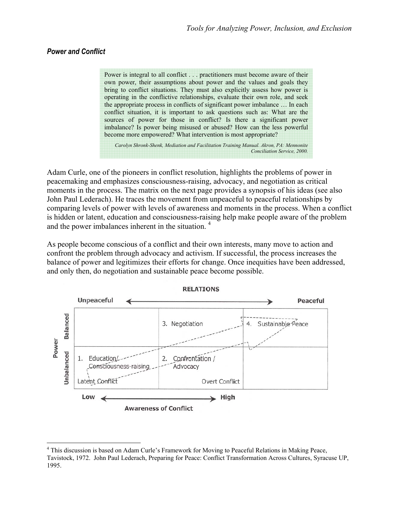#### *Power and Conflict*

 $\overline{a}$ 

Power is integral to all conflict . . . practitioners must become aware of their own power, their assumptions about power and the values and goals they bring to conflict situations. They must also explicitly assess how power is operating in the conflictive relationships, evaluate their own role, and seek the appropriate process in conflicts of significant power imbalance … In each conflict situation, it is important to ask questions such as: What are the sources of power for those in conflict? Is there a significant power imbalance? Is power being misused or abused? How can the less powerful become more empowered? What intervention is most appropriate?

*Carolyn Shronk-Shenk, Mediation and Facilitation Training Manual. Akron, PA: Mennonite Conciliation Service, 2000.* 

Adam Curle, one of the pioneers in conflict resolution, highlights the problems of power in peacemaking and emphasizes consciousness-raising, advocacy, and negotiation as critical moments in the process. The matrix on the next page provides a synopsis of his ideas (see also John Paul Lederach). He traces the movement from unpeaceful to peaceful relationships by comparing levels of power with levels of awareness and moments in the process. When a conflict is hidden or latent, education and consciousness-raising help make people aware of the problem and the power imbalances inherent in the situation.<sup>4</sup>

As people become conscious of a conflict and their own interests, many move to action and confront the problem through advocacy and activism. If successful, the process increases the balance of power and legitimizes their efforts for change. Once inequities have been addressed, and only then, do negotiation and sustainable peace become possible.



<sup>&</sup>lt;sup>4</sup> This discussion is based on Adam Curle's Framework for Moving to Peaceful Relations in Making Peace, Tavistock, 1972. John Paul Lederach, Preparing for Peace: Conflict Transformation Across Cultures, Syracuse UP, 1995.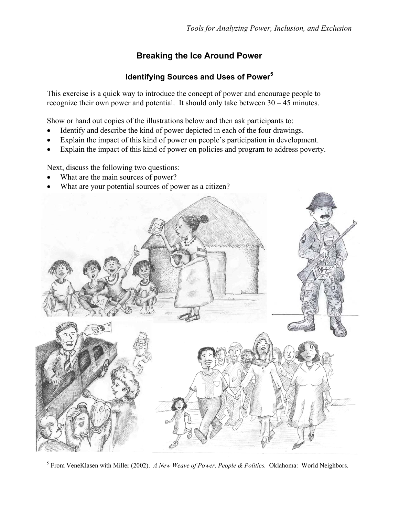# **Breaking the Ice Around Power**

# **Identifying Sources and Uses of Power5**

This exercise is a quick way to introduce the concept of power and encourage people to recognize their own power and potential. It should only take between 30 – 45 minutes.

Show or hand out copies of the illustrations below and then ask participants to:

- Identify and describe the kind of power depicted in each of the four drawings.
- Explain the impact of this kind of power on people's participation in development.
- Explain the impact of this kind of power on policies and program to address poverty.

Next, discuss the following two questions:

- What are the main sources of power?
- What are your potential sources of power as a citizen?



5 From VeneKlasen with Miller (2002). *A New Weave of Power, People & Politics.* Oklahoma: World Neighbors.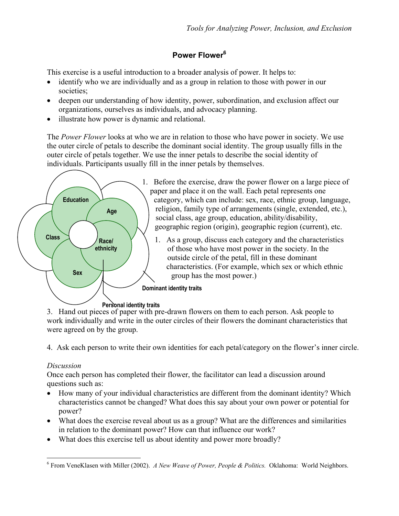# **Power Flower6**

This exercise is a useful introduction to a broader analysis of power. It helps to:

- identify who we are individually and as a group in relation to those with power in our societies;
- deepen our understanding of how identity, power, subordination, and exclusion affect our organizations, ourselves as individuals, and advocacy planning.
- illustrate how power is dynamic and relational.

The *Power Flower* looks at who we are in relation to those who have power in society. We use the outer circle of petals to describe the dominant social identity. The group usually fills in the outer circle of petals together. We use the inner petals to describe the social identity of individuals. Participants usually fill in the inner petals by themselves.



3. Hand out pieces of paper with pre-drawn flowers on them to each person. Ask people to work individually and write in the outer circles of their flowers the dominant characteristics that were agreed on by the group.

4. Ask each person to write their own identities for each petal/category on the flower's inner circle.

# *Discussion*

 $\overline{a}$ 

Once each person has completed their flower, the facilitator can lead a discussion around questions such as:

- How many of your individual characteristics are different from the dominant identity? Which characteristics cannot be changed? What does this say about your own power or potential for power?
- What does the exercise reveal about us as a group? What are the differences and similarities in relation to the dominant power? How can that influence our work?
- What does this exercise tell us about identity and power more broadly?

<sup>6</sup> From VeneKlasen with Miller (2002). *A New Weave of Power, People & Politics.* Oklahoma: World Neighbors.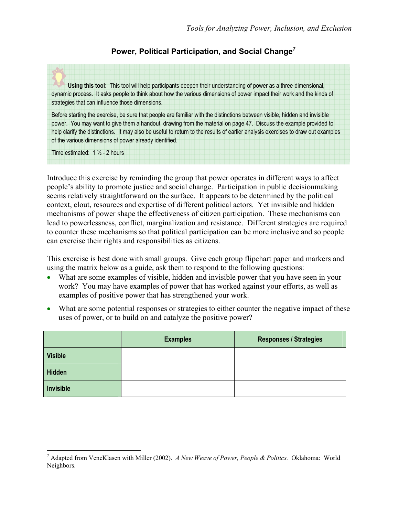# **Power, Political Participation, and Social Change7**

**Using this tool:** This tool will help participants deepen their understanding of power as a three-dimensional, dynamic process. It asks people to think about how the various dimensions of power impact their work and the kinds of strategies that can influence those dimensions.

Before starting the exercise, be sure that people are familiar with the distinctions between visible, hidden and invisible power. You may want to give them a handout, drawing from the material on page 47. Discuss the example provided to help clarify the distinctions. It may also be useful to return to the results of earlier analysis exercises to draw out examples of the various dimensions of power already identified.

Time estimated:  $1\frac{1}{2}$  - 2 hours

 $\overline{a}$ 

Introduce this exercise by reminding the group that power operates in different ways to affect people's ability to promote justice and social change. Participation in public decisionmaking seems relatively straightforward on the surface. It appears to be determined by the political context, clout, resources and expertise of different political actors. Yet invisible and hidden mechanisms of power shape the effectiveness of citizen participation. These mechanisms can lead to powerlessness, conflict, marginalization and resistance. Different strategies are required to counter these mechanisms so that political participation can be more inclusive and so people can exercise their rights and responsibilities as citizens.

This exercise is best done with small groups. Give each group flipchart paper and markers and using the matrix below as a guide, ask them to respond to the following questions:

- What are some examples of visible, hidden and invisible power that you have seen in your work? You may have examples of power that has worked against your efforts, as well as examples of positive power that has strengthened your work.
- What are some potential responses or strategies to either counter the negative impact of these uses of power, or to build on and catalyze the positive power?

|                  | <b>Examples</b> | <b>Responses / Strategies</b> |
|------------------|-----------------|-------------------------------|
| <b>Visible</b>   |                 |                               |
| Hidden           |                 |                               |
| <b>Invisible</b> |                 |                               |

<sup>7</sup> Adapted from VeneKlasen with Miller (2002). *A New Weave of Power, People & Politics.* Oklahoma: World Neighbors.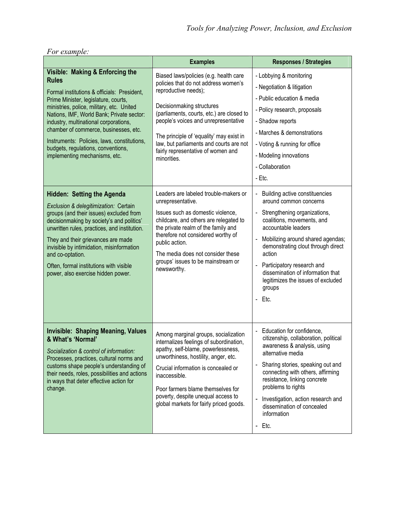# *For example:*

|                                                                                                                                                                                                                                                                                                                                                                                                                                                                                                                                                                                                                                                                                                                                                                                                                                                 | <b>Examples</b>                                                                                                                                                                                                                                                                                                                                                                                                                                                                                                                                                                                                                                                                                            | <b>Responses / Strategies</b>                                                                                                                                                                                                                                                                                                                                                                                                                                                                                                                                                                                                                          |  |
|-------------------------------------------------------------------------------------------------------------------------------------------------------------------------------------------------------------------------------------------------------------------------------------------------------------------------------------------------------------------------------------------------------------------------------------------------------------------------------------------------------------------------------------------------------------------------------------------------------------------------------------------------------------------------------------------------------------------------------------------------------------------------------------------------------------------------------------------------|------------------------------------------------------------------------------------------------------------------------------------------------------------------------------------------------------------------------------------------------------------------------------------------------------------------------------------------------------------------------------------------------------------------------------------------------------------------------------------------------------------------------------------------------------------------------------------------------------------------------------------------------------------------------------------------------------------|--------------------------------------------------------------------------------------------------------------------------------------------------------------------------------------------------------------------------------------------------------------------------------------------------------------------------------------------------------------------------------------------------------------------------------------------------------------------------------------------------------------------------------------------------------------------------------------------------------------------------------------------------------|--|
| Visible: Making & Enforcing the<br><b>Rules</b><br>Formal institutions & officials: President,<br>Prime Minister, legislature, courts,<br>ministries, police, military, etc. United<br>Nations, IMF, World Bank; Private sector:<br>industry, multinational corporations,<br>chamber of commerce, businesses, etc.<br>Instruments: Policies, laws, constitutions,<br>budgets, regulations, conventions,<br>implementing mechanisms, etc.<br>Hidden: Setting the Agenda<br>Exclusion & delegitimization: Certain<br>groups (and their issues) excluded from<br>decisionmaking by society's and politics'<br>unwritten rules, practices, and institution.<br>They and their grievances are made<br>invisible by intimidation, misinformation<br>and co-optation.<br>Often, formal institutions with visible<br>power, also exercise hidden power. | Biased laws/policies (e.g. health care<br>policies that do not address women's<br>reproductive needs);<br>Decisionmaking structures<br>(parliaments, courts, etc.) are closed to<br>people's voices and unrepresentative<br>The principle of 'equality' may exist in<br>law, but parliaments and courts are not<br>fairly representative of women and<br>minorities.<br>Leaders are labeled trouble-makers or<br>unrepresentative.<br>Issues such as domestic violence,<br>childcare, and others are relegated to<br>the private realm of the family and<br>therefore not considered worthy of<br>public action.<br>The media does not consider these<br>groups' issues to be mainstream or<br>newsworthy. | - Lobbying & monitoring<br>- Negotiation & litigation<br>- Public education & media<br>- Policy research, proposals<br>- Shadow reports<br>- Marches & demonstrations<br>- Voting & running for office<br>- Modeling innovations<br>- Collaboration<br>- Etc.<br>Building active constituencies<br>$\overline{a}$<br>around common concerns<br>Strengthening organizations,<br>÷,<br>coalitions, movements, and<br>accountable leaders<br>Mobilizing around shared agendas;<br>demonstrating clout through direct<br>action<br>Participatory research and<br>$\overline{a}$<br>dissemination of information that<br>legitimizes the issues of excluded |  |
|                                                                                                                                                                                                                                                                                                                                                                                                                                                                                                                                                                                                                                                                                                                                                                                                                                                 |                                                                                                                                                                                                                                                                                                                                                                                                                                                                                                                                                                                                                                                                                                            | groups<br>Etc.<br>$\overline{a}$                                                                                                                                                                                                                                                                                                                                                                                                                                                                                                                                                                                                                       |  |
| <b>Invisible: Shaping Meaning, Values</b><br>& What's 'Normal'<br>Socialization & control of information:<br>Processes, practices, cultural norms and<br>customs shape people's understanding of<br>their needs, roles, possibilities and actions<br>in ways that deter effective action for<br>change.                                                                                                                                                                                                                                                                                                                                                                                                                                                                                                                                         | Among marginal groups, socialization<br>internalizes feelings of subordination,<br>apathy, self-blame, powerlessness,<br>unworthiness, hostility, anger, etc.<br>Crucial information is concealed or<br>inaccessible.<br>Poor farmers blame themselves for<br>poverty, despite unequal access to<br>global markets for fairly priced goods.                                                                                                                                                                                                                                                                                                                                                                | Education for confidence,<br>$\overline{a}$<br>citizenship, collaboration, political<br>awareness & analysis, using<br>alternative media<br>Sharing stories, speaking out and<br>connecting with others, affirming<br>resistance, linking concrete<br>problems to rights<br>Investigation, action research and<br>dissemination of concealed<br>information<br>Etc.<br>$\overline{\phantom{a}}$                                                                                                                                                                                                                                                        |  |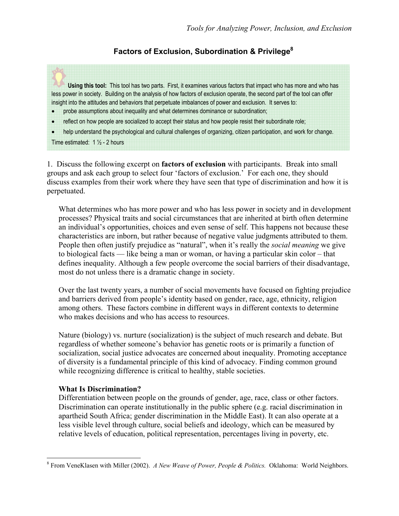# **Factors of Exclusion, Subordination & Privilege8**

**Using this tool:** This tool has two parts. First, it examines various factors that impact who has more and who has less power in society. Building on the analysis of how factors of exclusion operate, the second part of the tool can offer insight into the attitudes and behaviors that perpetuate imbalances of power and exclusion. It serves to:

- probe assumptions about inequality and what determines dominance or subordination;
- reflect on how people are socialized to accept their status and how people resist their subordinate role;

• help understand the psychological and cultural challenges of organizing, citizen participation, and work for change. Time estimated:  $1\frac{1}{2}$  - 2 hours

1. Discuss the following excerpt on **factors of exclusion** with participants. Break into small groups and ask each group to select four 'factors of exclusion.' For each one, they should discuss examples from their work where they have seen that type of discrimination and how it is perpetuated.

What determines who has more power and who has less power in society and in development processes? Physical traits and social circumstances that are inherited at birth often determine an individual's opportunities, choices and even sense of self. This happens not because these characteristics are inborn, but rather because of negative value judgments attributed to them. People then often justify prejudice as "natural", when it's really the *social meaning* we give to biological facts — like being a man or woman, or having a particular skin color – that defines inequality. Although a few people overcome the social barriers of their disadvantage, most do not unless there is a dramatic change in society.

Over the last twenty years, a number of social movements have focused on fighting prejudice and barriers derived from people's identity based on gender, race, age, ethnicity, religion among others. These factors combine in different ways in different contexts to determine who makes decisions and who has access to resources.

Nature (biology) vs. nurture (socialization) is the subject of much research and debate. But regardless of whether someone's behavior has genetic roots or is primarily a function of socialization, social justice advocates are concerned about inequality. Promoting acceptance of diversity is a fundamental principle of this kind of advocacy. Finding common ground while recognizing difference is critical to healthy, stable societies.

#### **What Is Discrimination?**

 $\overline{a}$ 

Differentiation between people on the grounds of gender, age, race, class or other factors. Discrimination can operate institutionally in the public sphere (e.g. racial discrimination in apartheid South Africa; gender discrimination in the Middle East). It can also operate at a less visible level through culture, social beliefs and ideology, which can be measured by relative levels of education, political representation, percentages living in poverty, etc.

<sup>8</sup> From VeneKlasen with Miller (2002). *A New Weave of Power, People & Politics.* Oklahoma: World Neighbors.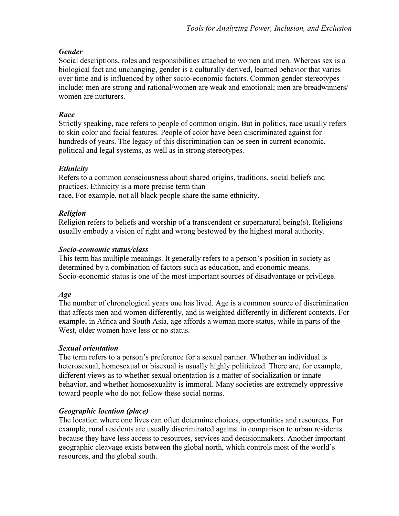# *Gender*

Social descriptions, roles and responsibilities attached to women and men. Whereas sex is a biological fact and unchanging, gender is a culturally derived, learned behavior that varies over time and is influenced by other socio-economic factors. Common gender stereotypes include: men are strong and rational/women are weak and emotional; men are breadwinners/ women are nurturers.

# *Race*

Strictly speaking, race refers to people of common origin. But in politics, race usually refers to skin color and facial features. People of color have been discriminated against for hundreds of years. The legacy of this discrimination can be seen in current economic, political and legal systems, as well as in strong stereotypes.

# *Ethnicity*

Refers to a common consciousness about shared origins, traditions, social beliefs and practices. Ethnicity is a more precise term than race. For example, not all black people share the same ethnicity.

# *Religion*

Religion refers to beliefs and worship of a transcendent or supernatural being(s). Religions usually embody a vision of right and wrong bestowed by the highest moral authority.

# *Socio-economic status/class*

This term has multiple meanings. It generally refers to a person's position in society as determined by a combination of factors such as education, and economic means. Socio-economic status is one of the most important sources of disadvantage or privilege.

# *Age*

The number of chronological years one has lived. Age is a common source of discrimination that affects men and women differently, and is weighted differently in different contexts. For example, in Africa and South Asia, age affords a woman more status, while in parts of the West, older women have less or no status.

# *Sexual orientation*

The term refers to a person's preference for a sexual partner. Whether an individual is heterosexual, homosexual or bisexual is usually highly politicized. There are, for example, different views as to whether sexual orientation is a matter of socialization or innate behavior, and whether homosexuality is immoral. Many societies are extremely oppressive toward people who do not follow these social norms.

# *Geographic location (place)*

The location where one lives can often determine choices, opportunities and resources. For example, rural residents are usually discriminated against in comparison to urban residents because they have less access to resources, services and decisionmakers. Another important geographic cleavage exists between the global north, which controls most of the world's resources, and the global south.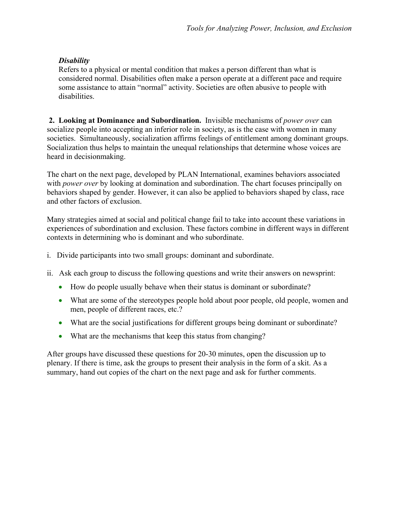# *Disability*

Refers to a physical or mental condition that makes a person different than what is considered normal. Disabilities often make a person operate at a different pace and require some assistance to attain "normal" activity. Societies are often abusive to people with disabilities.

 **2. Looking at Dominance and Subordination.** Invisible mechanisms of *power over* can socialize people into accepting an inferior role in society, as is the case with women in many societies. Simultaneously, socialization affirms feelings of entitlement among dominant groups. Socialization thus helps to maintain the unequal relationships that determine whose voices are heard in decisionmaking.

The chart on the next page, developed by PLAN International, examines behaviors associated with *power over* by looking at domination and subordination. The chart focuses principally on behaviors shaped by gender. However, it can also be applied to behaviors shaped by class, race and other factors of exclusion.

Many strategies aimed at social and political change fail to take into account these variations in experiences of subordination and exclusion. These factors combine in different ways in different contexts in determining who is dominant and who subordinate.

- i. Divide participants into two small groups: dominant and subordinate.
- ii. Ask each group to discuss the following questions and write their answers on newsprint:
	- How do people usually behave when their status is dominant or subordinate?
	- What are some of the stereotypes people hold about poor people, old people, women and men, people of different races, etc.?
	- What are the social justifications for different groups being dominant or subordinate?
	- What are the mechanisms that keep this status from changing?

After groups have discussed these questions for 20-30 minutes, open the discussion up to plenary. If there is time, ask the groups to present their analysis in the form of a skit. As a summary, hand out copies of the chart on the next page and ask for further comments.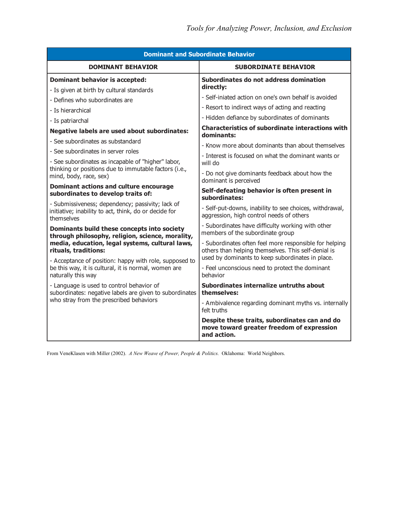| <b>Dominant and Subordinate Behavior</b>                                                                                          |                                                                                                                                                                   |  |  |  |  |  |  |
|-----------------------------------------------------------------------------------------------------------------------------------|-------------------------------------------------------------------------------------------------------------------------------------------------------------------|--|--|--|--|--|--|
| <b>DOMINANT BEHAVIOR</b>                                                                                                          | <b>SUBORDINATE BEHAVIOR</b>                                                                                                                                       |  |  |  |  |  |  |
| <b>Dominant behavior is accepted:</b>                                                                                             | Subordinates do not address domination<br>directly:<br>- Self-iniated action on one's own behalf is avoided<br>- Resort to indirect ways of acting and reacting   |  |  |  |  |  |  |
| - Is given at birth by cultural standards                                                                                         |                                                                                                                                                                   |  |  |  |  |  |  |
| - Defines who subordinates are                                                                                                    |                                                                                                                                                                   |  |  |  |  |  |  |
| - Is hierarchical                                                                                                                 |                                                                                                                                                                   |  |  |  |  |  |  |
| - Is patriarchal                                                                                                                  | - Hidden defiance by subordinates of dominants                                                                                                                    |  |  |  |  |  |  |
| <b>Negative labels are used about subordinates:</b>                                                                               | <b>Characteristics of subordinate interactions with</b><br>dominants:                                                                                             |  |  |  |  |  |  |
| - See subordinates as substandard                                                                                                 | - Know more about dominants than about themselves                                                                                                                 |  |  |  |  |  |  |
| - See subordinates in server roles                                                                                                | - Interest is focused on what the dominant wants or                                                                                                               |  |  |  |  |  |  |
| - See subordinates as incapable of "higher" labor,                                                                                | will do                                                                                                                                                           |  |  |  |  |  |  |
| thinking or positions due to immutable factors (i.e.,<br>mind, body, race, sex)                                                   | - Do not give dominants feedback about how the<br>dominant is perceived                                                                                           |  |  |  |  |  |  |
| Dominant actions and culture encourage<br>subordinates to develop traits of:                                                      | Self-defeating behavior is often present in<br>subordinates:                                                                                                      |  |  |  |  |  |  |
| - Submissiveness; dependency; passivity; lack of<br>initiative; inability to act, think, do or decide for<br>themselves           | - Self-put-downs, inability to see choices, withdrawal,<br>aggression, high control needs of others                                                               |  |  |  |  |  |  |
| Dominants build these concepts into society<br>through philosophy, religion, science, morality,                                   | - Subordinates have difficulty working with other<br>members of the subordinate group                                                                             |  |  |  |  |  |  |
| media, education, legal systems, cultural laws,<br>rituals, traditions:<br>- Acceptance of position: happy with role, supposed to | - Subordinates often feel more responsible for helping<br>others than helping themselves. This self-denial is<br>used by dominants to keep subordinates in place. |  |  |  |  |  |  |
| be this way, it is cultural, it is normal, women are<br>naturally this way                                                        | - Feel unconscious need to protect the dominant<br>behavior                                                                                                       |  |  |  |  |  |  |
| - Language is used to control behavior of<br>subordinates: negative labels are given to subordinates                              | Subordinates internalize untruths about<br>themselves:                                                                                                            |  |  |  |  |  |  |
| who stray from the prescribed behaviors                                                                                           | - Ambivalence regarding dominant myths vs. internally<br>felt truths                                                                                              |  |  |  |  |  |  |
|                                                                                                                                   | Despite these traits, subordinates can and do<br>move toward greater freedom of expression<br>and action.                                                         |  |  |  |  |  |  |

From VeneKlasen with Miller (2002). *A New Weave of Power, People & Politics.* Oklahoma: World Neighbors.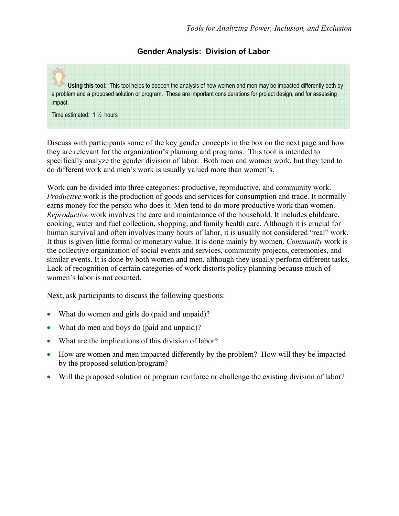### **Gender Analysis: Division of Labor**

**Using this tool:** This tool helps to deepen the analysis of how women and men may be impacted differently both by a problem and a proposed solution or program. These are important considerations for project design, and for assessing impact.

Time estimated: 1 ½ hours

Discuss with participants some of the key gender concepts in the box on the next page and how they are relevant for the organization's planning and programs. This tool is intended to specifically analyze the gender division of labor. Both men and women work, but they tend to do different work and men's work is usually valued more than women's.

Work can be divided into three categories: productive, reproductive, and community work. *Productive* work is the production of goods and services for consumption and trade. It normally earns money for the person who does it. Men tend to do more productive work than women. *Reproductive* work involves the care and maintenance of the household. It includes childcare, cooking, water and fuel collection, shopping, and family health care. Although it is crucial for human survival and often involves many hours of labor, it is usually not considered "real" work. It thus is given little formal or monetary value. It is done mainly by women. *Community* work is the collective organization of social events and services, community projects, ceremonies, and similar events. It is done by both women and men, although they usually perform different tasks. Lack of recognition of certain categories of work distorts policy planning because much of women's labor is not counted.

Next, ask participants to discuss the following questions:

- What do women and girls do (paid and unpaid)?
- What do men and boys do (paid and unpaid)?
- What are the implications of this division of labor?
- How are women and men impacted differently by the problem? How will they be impacted by the proposed solution/program?
- Will the proposed solution or program reinforce or challenge the existing division of labor?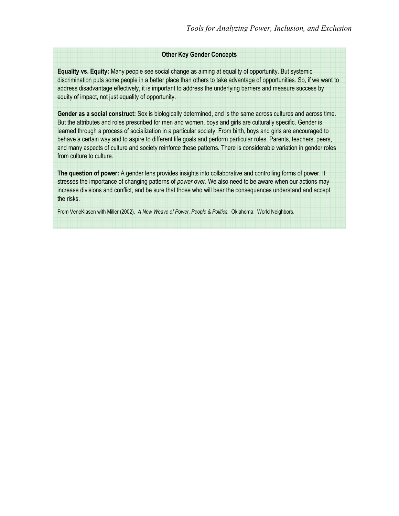#### **Other Key Gender Concepts**

**Equality vs. Equity:** Many people see social change as aiming at equality of opportunity. But systemic discrimination puts some people in a better place than others to take advantage of opportunities. So, if we want to address disadvantage effectively, it is important to address the underlying barriers and measure success by equity of impact, not just equality of opportunity.

**Gender as a social construct:** Sex is biologically determined, and is the same across cultures and across time. But the attributes and roles prescribed for men and women, boys and girls are culturally specific. Gender is learned through a process of socialization in a particular society. From birth, boys and girls are encouraged to behave a certain way and to aspire to different life goals and perform particular roles. Parents, teachers, peers, and many aspects of culture and society reinforce these patterns. There is considerable variation in gender roles from culture to culture.

**The question of power:** A gender lens provides insights into collaborative and controlling forms of power. It stresses the importance of changing patterns of *power over*. We also need to be aware when our actions may increase divisions and conflict, and be sure that those who will bear the consequences understand and accept the risks.

From VeneKlasen with Miller (2002). *A New Weave of Power, People & Politics.* Oklahoma: World Neighbors.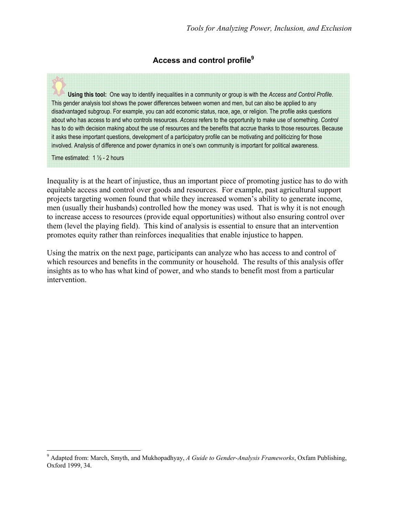# **Access and control profile9**

**Using this tool:** One way to identify inequalities in a community or group is with the *Access and Control Profile*. This gender analysis tool shows the power differences between women and men, but can also be applied to any disadvantaged subgroup. For example, you can add economic status, race, age, or religion. The profile asks questions about who has access to and who controls resources. *Access* refers to the opportunity to make use of something. *Control* has to do with decision making about the use of resources and the benefits that accrue thanks to those resources. Because it asks these important questions, development of a participatory profile can be motivating and politicizing for those involved. Analysis of difference and power dynamics in one's own community is important for political awareness.

Time estimated: 1 ½ - 2 hours

 $\overline{a}$ 

Inequality is at the heart of injustice, thus an important piece of promoting justice has to do with equitable access and control over goods and resources. For example, past agricultural support projects targeting women found that while they increased women's ability to generate income, men (usually their husbands) controlled how the money was used. That is why it is not enough to increase access to resources (provide equal opportunities) without also ensuring control over them (level the playing field). This kind of analysis is essential to ensure that an intervention promotes equity rather than reinforces inequalities that enable injustice to happen.

Using the matrix on the next page, participants can analyze who has access to and control of which resources and benefits in the community or household. The results of this analysis offer insights as to who has what kind of power, and who stands to benefit most from a particular intervention.

<sup>9</sup> Adapted from: March, Smyth, and Mukhopadhyay, *A Guide to Gender-Analysis Frameworks*, Oxfam Publishing, Oxford 1999, 34.